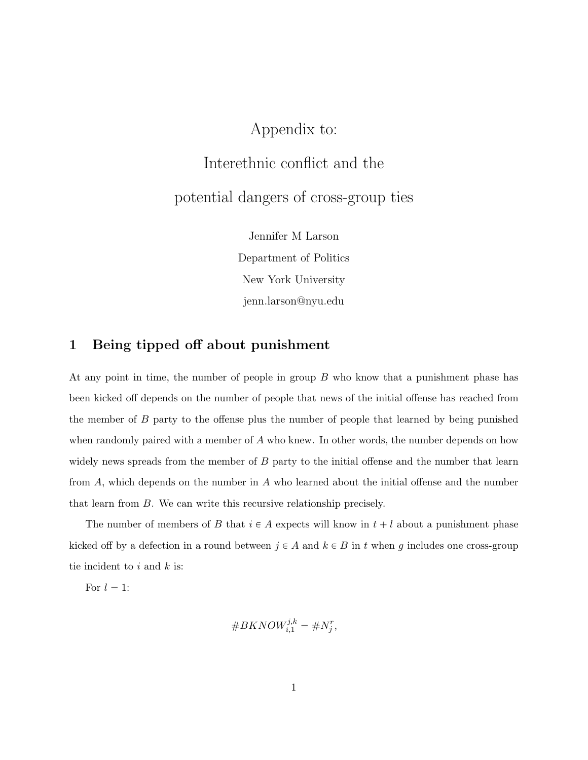## Appendix to:

# Interethnic conflict and the potential dangers of cross-group ties

Jennifer M Larson Department of Politics New York University <jenn.larson@nyu.edu>

## 1 Being tipped off about punishment

At any point in time, the number of people in group B who know that a punishment phase has been kicked off depends on the number of people that news of the initial offense has reached from the member of B party to the offense plus the number of people that learned by being punished when randomly paired with a member of A who knew. In other words, the number depends on how widely news spreads from the member of  $B$  party to the initial offense and the number that learn from A, which depends on the number in A who learned about the initial offense and the number that learn from B. We can write this recursive relationship precisely.

The number of members of B that  $i \in A$  expects will know in  $t + l$  about a punishment phase kicked off by a defection in a round between  $j \in A$  and  $k \in B$  in t when g includes one cross-group tie incident to  $i$  and  $k$  is:

For  $l = 1$ :

$$
\#BKNOW^{j,k}_{i,1} = \#N^r_j,
$$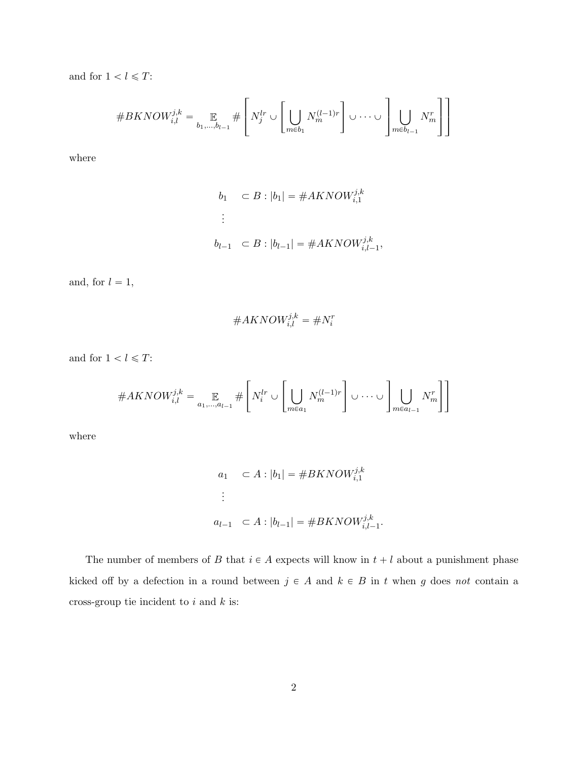and for  $1 < l \leqslant T$  :

$$
\#BKNOW^{j,k}_{i,l} = \underset{b_1,\ldots,b_{l-1}}{\mathbb{E}} \# \left[ N_j^{lr} \cup \left[ \bigcup_{m \in b_1} N_m^{(l-1)r} \right] \cup \cdots \cup \left[ \bigcup_{m \in b_{l-1}} N_m^r \right] \right]
$$

where

$$
b_1 \quad \subset B : |b_1| = \#AKNOW_{i,1}^{j,k}
$$

$$
\vdots
$$

$$
b_{l-1} \quad \subset B : |b_{l-1}| = \#AKNOW_{i,l-1}^{j,k},
$$

and, for  $l = 1$ ,

$$
\#AKNON^{j,k}_{i,l} = \#N^r_i
$$

and for  $1 < l \leq T$ :

#AKNOWj,k i,l " E a1,...,al´<sup>1</sup> # « N lr <sup>i</sup> Y « <sup>ď</sup> mPa<sup>1</sup> N pl´1qr m ff Y ¨ ¨ ¨ Y ff <sup>ď</sup> mPal´<sup>1</sup> N r m ffff

where

$$
a_1 \quad \subset A : |b_1| = \# BKNOW_{i,1}^{j,k}
$$
  
\n
$$
\vdots
$$
  
\n
$$
a_{l-1} \quad \subset A : |b_{l-1}| = \# BKNOW_{i,l-1}^{j,k}.
$$

The number of members of B that  $i \in A$  expects will know in  $t + l$  about a punishment phase kicked off by a defection in a round between  $j \in A$  and  $k \in B$  in t when g does not contain a cross-group tie incident to  $i$  and  $k$  is: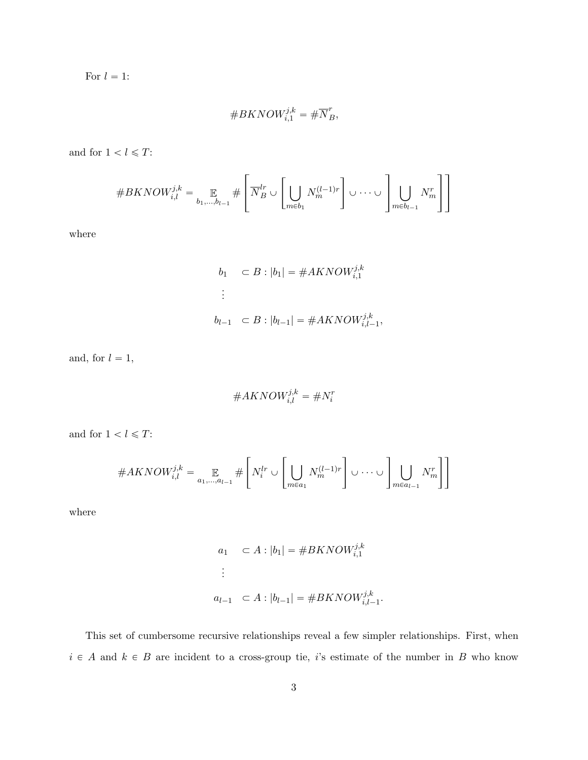For  $l = 1$ :

$$
\#BKNOW^{j,k}_{i,1} = \# \overline{N}_B^r,
$$

and for  $1 < l \leqslant T$ :

#BKNOWj,k i,l " E b1,...,bl´<sup>1</sup> # » –<sup>N</sup> lr <sup>B</sup> Y « <sup>ď</sup> mPb<sup>1</sup> N pl´1qr m ff Y ¨ ¨ ¨ Y fi fl mPbl´<sup>1</sup> N r m fi fl fi fl

where

$$
b_1 \quad \subset B : |b_1| = \#AKNOW_{i,1}^{j,k}
$$
\n
$$
\vdots
$$
\n
$$
b_{l-1} \quad \subset B : |b_{l-1}| = \#AKNOW_{i,l-1}^{j,k},
$$

and, for  $l = 1$ ,

$$
\#AKNON^{j,k}_{i,l} = \#N_i^r
$$

and for  $1 < l \leq T$ :

#AKNOWj,k i,l " E a1,...,al´<sup>1</sup> # « N lr <sup>i</sup> Y « <sup>ď</sup> mPa<sup>1</sup> N pl´1qr m ff Y ¨ ¨ ¨ Y ff <sup>ď</sup> mPal´<sup>1</sup> N r m ffff

where

$$
a_1 \quad \subset A : |b_1| = \# BKNOW_{i,1}^{j,k}
$$
  
\n
$$
\vdots
$$
  
\n
$$
a_{l-1} \quad \subset A : |b_{l-1}| = \# BKNOW_{i,l-1}^{j,k}.
$$

This set of cumbersome recursive relationships reveal a few simpler relationships. First, when  $i \in A$  and  $k \in B$  are incident to a cross-group tie, i's estimate of the number in B who know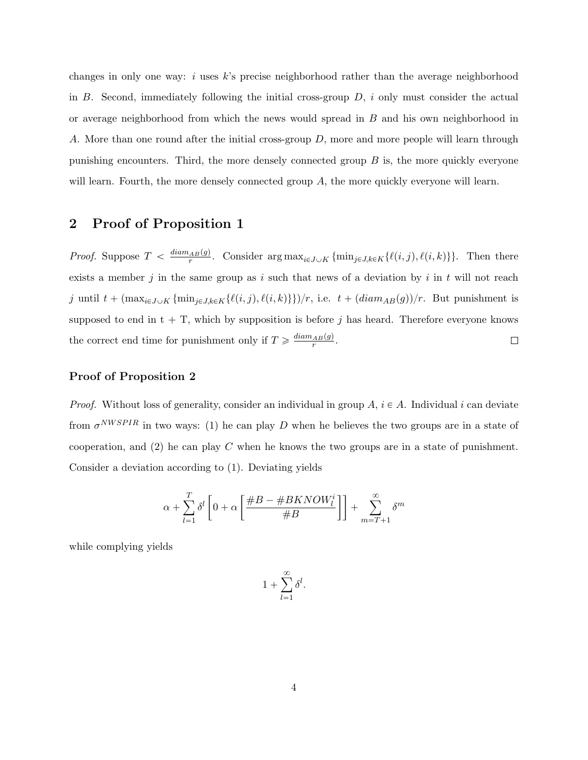changes in only one way:  $i$  uses  $k$ 's precise neighborhood rather than the average neighborhood in B. Second, immediately following the initial cross-group  $D$ , i only must consider the actual or average neighborhood from which the news would spread in B and his own neighborhood in A. More than one round after the initial cross-group D, more and more people will learn through punishing encounters. Third, the more densely connected group  $B$  is, the more quickly everyone will learn. Fourth, the more densely connected group A, the more quickly everyone will learn.

## 2 Proof of Proposition 1

*Proof.* Suppose  $T < \frac{diam_{AB}(g)}{r}$  $\frac{AB(g)}{r}$ . Consider  $\arg \max_{i \in J \cup K} {\min_{j \in J, k \in K} {\{\ell(i,j),\ell(i,k)\}}}$ . Then there exists a member j in the same group as i such that news of a deviation by i in t will not reach j until  $t + (\max_{i\in J\cup K} {\min_{j\in J, k\in K} {\{\ell(i,j),\ell(i,k)\}}\}\rangle/r$ , i.e.  $t + (diam_{AB}(g))/r$ . But punishment is supposed to end in  $t + T$ , which by supposition is before j has heard. Therefore everyone knows the correct end time for punishment only if  $T \geq \frac{diam_{AB}(g)}{r}$  $\frac{AB(y)}{r}$ .  $\Box$ 

#### Proof of Proposition 2

*Proof.* Without loss of generality, consider an individual in group  $A, i \in A$ . Individual i can deviate from  $\sigma^{NWSPIR}$  in two ways: (1) he can play D when he believes the two groups are in a state of cooperation, and  $(2)$  he can play C when he knows the two groups are in a state of punishment. Consider a deviation according to (1). Deviating yields

$$
\alpha + \sum_{l=1}^{T} \delta^l \left[ 0 + \alpha \left[ \frac{\#B - \# BK NOW_l^i}{\#B} \right] \right] + \sum_{m=T+1}^{\infty} \delta^m
$$

while complying yields

$$
1+\sum_{l=1}^\infty \delta^l.
$$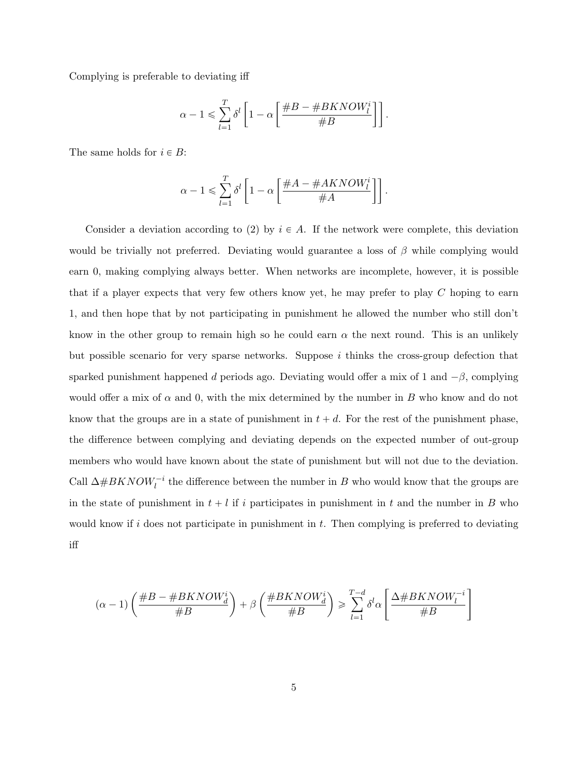Complying is preferable to deviating iff

$$
\alpha - 1 \leqslant \sum_{l=1}^{T} \delta^l \left[ 1 - \alpha \left[ \frac{\#B - \# BKNOW_l^i}{\#B} \right] \right].
$$

The same holds for  $i \in B$ :

$$
\alpha - 1 \leqslant \sum_{l=1}^{T} \delta^l \left[ 1 - \alpha \left[ \frac{\#A - \#AKNOW_l^i}{\#A} \right] \right].
$$

Consider a deviation according to (2) by  $i \in A$ . If the network were complete, this deviation would be trivially not preferred. Deviating would guarantee a loss of  $\beta$  while complying would earn 0, making complying always better. When networks are incomplete, however, it is possible that if a player expects that very few others know yet, he may prefer to play C hoping to earn 1, and then hope that by not participating in punishment he allowed the number who still don't know in the other group to remain high so he could earn  $\alpha$  the next round. This is an unlikely but possible scenario for very sparse networks. Suppose  $i$  thinks the cross-group defection that sparked punishment happened d periods ago. Deviating would offer a mix of 1 and  $-\beta$ , complying would offer a mix of  $\alpha$  and 0, with the mix determined by the number in B who know and do not know that the groups are in a state of punishment in  $t + d$ . For the rest of the punishment phase, the difference between complying and deviating depends on the expected number of out-group members who would have known about the state of punishment but will not due to the deviation. Call  $\Delta \# BKNOW_l^{-i}$  the difference between the number in B who would know that the groups are in the state of punishment in  $t + l$  if i participates in punishment in t and the number in B who would know if i does not participate in punishment in  $t$ . Then complying is preferred to deviating iff

$$
(\alpha-1)\left(\frac{\#B-\#BKNOW_d^i}{\#B}\right)+\beta\left(\frac{\#BKNOW_d^i}{\#B}\right)\geqslant \sum_{l=1}^{T-d}\delta^l\alpha\left[\frac{\Delta\#BKNOW_l^{-i}}{\#B}\right]
$$